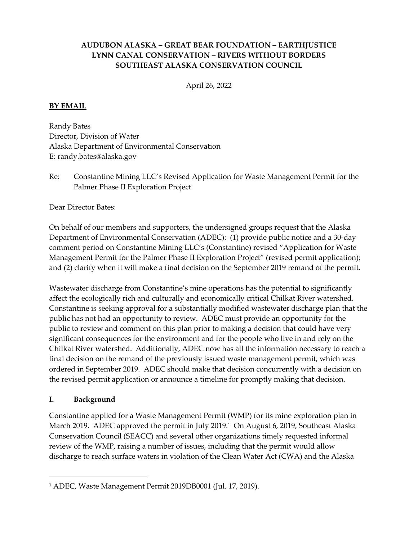## **AUDUBON ALASKA – GREAT BEAR FOUNDATION – EARTHJUSTICE LYNN CANAL CONSERVATION – RIVERS WITHOUT BORDERS SOUTHEAST ALASKA CONSERVATION COUNCIL**

April 26, 2022

#### **BY EMAIL**

Randy Bates Director, Division of Water Alaska Department of Environmental Conservation E: randy.bates@alaska.gov

Re: Constantine Mining LLC's Revised Application for Waste Management Permit for the Palmer Phase II Exploration Project

Dear Director Bates:

On behalf of our members and supporters, the undersigned groups request that the Alaska Department of Environmental Conservation (ADEC): (1) provide public notice and a 30‐day comment period on Constantine Mining LLC's (Constantine) revised "Application for Waste Management Permit for the Palmer Phase II Exploration Project" (revised permit application); and (2) clarify when it will make a final decision on the September 2019 remand of the permit.

Wastewater discharge from Constantine's mine operations has the potential to significantly affect the ecologically rich and culturally and economically critical Chilkat River watershed. Constantine is seeking approval for a substantially modified wastewater discharge plan that the public has not had an opportunity to review. ADEC must provide an opportunity for the public to review and comment on this plan prior to making a decision that could have very significant consequences for the environment and for the people who live in and rely on the Chilkat River watershed. Additionally, ADEC now has all the information necessary to reach a final decision on the remand of the previously issued waste management permit, which was ordered in September 2019. ADEC should make that decision concurrently with a decision on the revised permit application or announce a timeline for promptly making that decision.

#### **I. Background**

Constantine applied for a Waste Management Permit (WMP) for its mine exploration plan in March 2019. ADEC approved the permit in July 2019.<sup>1</sup> On August 6, 2019, Southeast Alaska Conservation Council (SEACC) and several other organizations timely requested informal review of the WMP, raising a number of issues, including that the permit would allow discharge to reach surface waters in violation of the Clean Water Act (CWA) and the Alaska

<sup>1</sup> ADEC, Waste Management Permit 2019DB0001 (Jul. 17, 2019).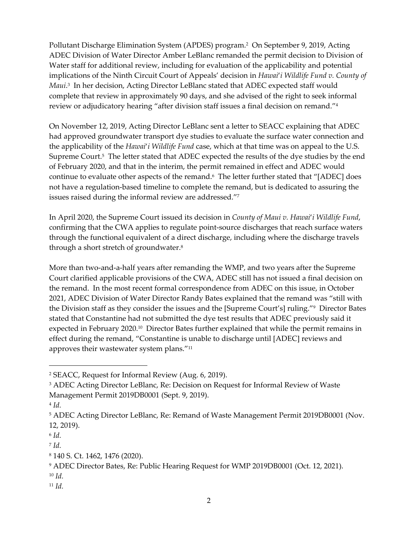Pollutant Discharge Elimination System (APDES) program.<sup>2</sup> On September 9, 2019, Acting ADEC Division of Water Director Amber LeBlanc remanded the permit decision to Division of Water staff for additional review, including for evaluation of the applicability and potential implications of the Ninth Circuit Court of Appeals' decision in *Hawai*'*i Wildlife Fund v. County of Maui*. 3 In her decision, Acting Director LeBlanc stated that ADEC expected staff would complete that review in approximately 90 days, and she advised of the right to seek informal review or adjudicatory hearing "after division staff issues a final decision on remand."<sup>4</sup>

On November 12, 2019, Acting Director LeBlanc sent a letter to SEACC explaining that ADEC had approved groundwater transport dye studies to evaluate the surface water connection and the applicability of the *Hawai*'*i Wildlife Fund* case, which at that time was on appeal to the U.S. Supreme Court.<sup>5</sup> The letter stated that ADEC expected the results of the dye studies by the end of February 2020, and that in the interim, the permit remained in effect and ADEC would continue to evaluate other aspects of the remand.6 The letter further stated that "[ADEC] does not have a regulation‐based timeline to complete the remand, but is dedicated to assuring the issues raised during the informal review are addressed." $^{\prime\prime}$ 

In April 2020, the Supreme Court issued its decision in *County of Maui v. Hawai*'*i Wildlife Fund*, confirming that the CWA applies to regulate point-source discharges that reach surface waters through the functional equivalent of a direct discharge, including where the discharge travels through a short stretch of groundwater. $^8$ 

More than two-and-a-half years after remanding the WMP, and two years after the Supreme Court clarified applicable provisions of the CWA, ADEC still has not issued a final decision on the remand. In the most recent formal correspondence from ADEC on this issue, in October 2021, ADEC Division of Water Director Randy Bates explained that the remand was "still with the Division staff as they consider the issues and the [Supreme Court's] ruling."<sup>9</sup> Director Bates stated that Constantine had not submitted the dye test results that ADEC previously said it expected in February 2020.<sup>10</sup> Director Bates further explained that while the permit remains in effect during the remand, "Constantine is unable to discharge until [ADEC] reviews and approves their wastewater system plans."<sup>11</sup>

- <sup>10</sup> *Id.*
- <sup>11</sup> *Id.*

<sup>2</sup> SEACC, Request for Informal Review (Aug. 6, 2019).

<sup>3</sup> ADEC Acting Director LeBlanc, Re: Decision on Request for Informal Review of Waste Management Permit 2019DB0001 (Sept. 9, 2019).

<sup>4</sup> *Id.*

<sup>5</sup> ADEC Acting Director LeBlanc, Re: Remand of Waste Management Permit 2019DB0001 (Nov. 12, 2019).

<sup>6</sup> *Id.*

<sup>7</sup> *Id.*

<sup>8</sup> 140 S. Ct. 1462, 1476 (2020).

<sup>9</sup> ADEC Director Bates, Re: Public Hearing Request for WMP 2019DB0001 (Oct. 12, 2021).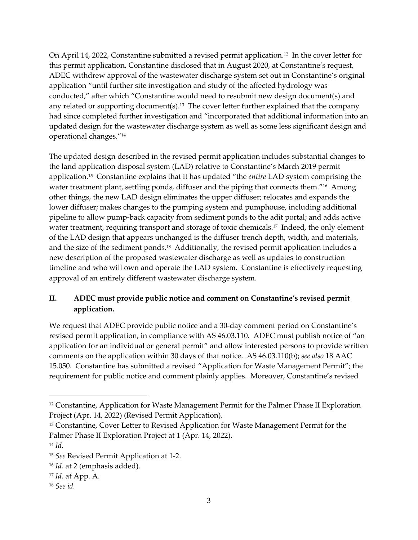On April 14, 2022, Constantine submitted a revised permit application.<sup>12</sup> In the cover letter for this permit application, Constantine disclosed that in August 2020, at Constantine's request, ADEC withdrew approval of the wastewater discharge system set out in Constantine's original application "until further site investigation and study of the affected hydrology was conducted," after which "Constantine would need to resubmit new design document(s) and any related or supporting document(s). $^{13}$  The cover letter further explained that the company had since completed further investigation and "incorporated that additional information into an updated design for the wastewater discharge system as well as some less significant design and operational changes."<sup>14</sup>

The updated design described in the revised permit application includes substantial changes to the land application disposal system (LAD) relative to Constantine's March 2019 permit application.<sup>15</sup> Constantine explains that it has updated "the *entire* LAD system comprising the water treatment plant, settling ponds, diffuser and the piping that connects them."<sup>16</sup> Among other things, the new LAD design eliminates the upper diffuser; relocates and expands the lower diffuser; makes changes to the pumping system and pumphouse, including additional pipeline to allow pump‐back capacity from sediment ponds to the adit portal; and adds active water treatment, requiring transport and storage of toxic chemicals.<sup>17</sup> Indeed, the only element of the LAD design that appears unchanged is the diffuser trench depth, width, and materials, and the size of the sediment ponds. $^{18}$  Additionally, the revised permit application includes a new description of the proposed wastewater discharge as well as updates to construction timeline and who will own and operate the LAD system. Constantine is effectively requesting approval of an entirely different wastewater discharge system.

# **II. ADEC must provide public notice and comment on Constantine's revised permit application.**

We request that ADEC provide public notice and a 30‐day comment period on Constantine's revised permit application, in compliance with AS 46.03.110. ADEC must publish notice of "an application for an individual or general permit" and allow interested persons to provide written comments on the application within 30 days of that notice. AS 46.03.110(b); *see also* 18 AAC 15.050. Constantine has submitted a revised "Application for Waste Management Permit"; the requirement for public notice and comment plainly applies. Moreover, Constantine's revised

<sup>12</sup> Constantine, Application for Waste Management Permit for the Palmer Phase II Exploration Project (Apr. 14, 2022) (Revised Permit Application).

<sup>&</sup>lt;sup>13</sup> Constantine, Cover Letter to Revised Application for Waste Management Permit for the Palmer Phase II Exploration Project at 1 (Apr. 14, 2022).

<sup>14</sup> *Id.*

<sup>15</sup> *See* Revised Permit Application at 1‐2.

<sup>16</sup> *Id.* at 2 (emphasis added).

<sup>17</sup> *Id.* at App. A.

<sup>18</sup> *See id.*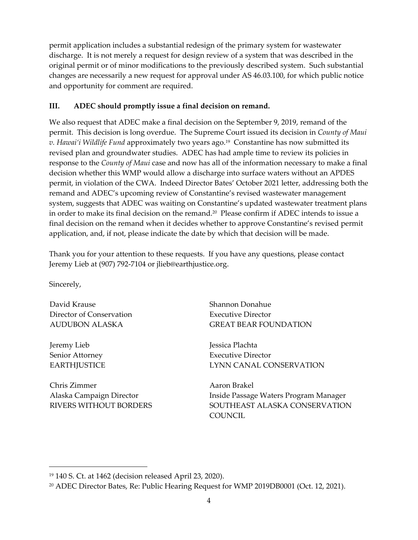permit application includes a substantial redesign of the primary system for wastewater discharge. It is not merely a request for design review of a system that was described in the original permit or of minor modifications to the previously described system. Such substantial changes are necessarily a new request for approval under AS 46.03.100, for which public notice and opportunity for comment are required.

### **III. ADEC should promptly issue a final decision on remand.**

We also request that ADEC make a final decision on the September 9, 2019, remand of the permit. This decision is long overdue. The Supreme Court issued its decision in *County of Maui v. Hawai'i Wildlife Fund* approximately two years ago.<sup>19</sup> Constantine has now submitted its revised plan and groundwater studies. ADEC has had ample time to review its policies in response to the *County of Maui* case and now has all of the information necessary to make a final decision whether this WMP would allow a discharge into surface waters without an APDES permit, in violation of the CWA. Indeed Director Bates' October 2021 letter, addressing both the remand and ADEC's upcoming review of Constantine's revised wastewater management system, suggests that ADEC was waiting on Constantine's updated wastewater treatment plans in order to make its final decision on the remand. $^{20}$  Please confirm if ADEC intends to issue a final decision on the remand when it decides whether to approve Constantine's revised permit application, and, if not, please indicate the date by which that decision will be made.

Thank you for your attention to these requests. If you have any questions, please contact Jeremy Lieb at (907) 792‐7104 or jlieb@earthjustice.org.

Sincerely,

David Krause Director of Conservation AUDUBON ALASKA

Jeremy Lieb Senior Attorney **EARTHJUSTICE** 

Chris Zimmer Alaska Campaign Director RIVERS WITHOUT BORDERS Shannon Donahue Executive Director GREAT BEAR FOUNDATION

Jessica Plachta Executive Director LYNN CANAL CONSERVATION

Aaron Brakel Inside Passage Waters Program Manager SOUTHEAST ALASKA CONSERVATION **COUNCIL** 

<sup>19</sup> 140 S. Ct. at 1462 (decision released April 23, 2020).

<sup>20</sup> ADEC Director Bates, Re: Public Hearing Request for WMP 2019DB0001 (Oct. 12, 2021).